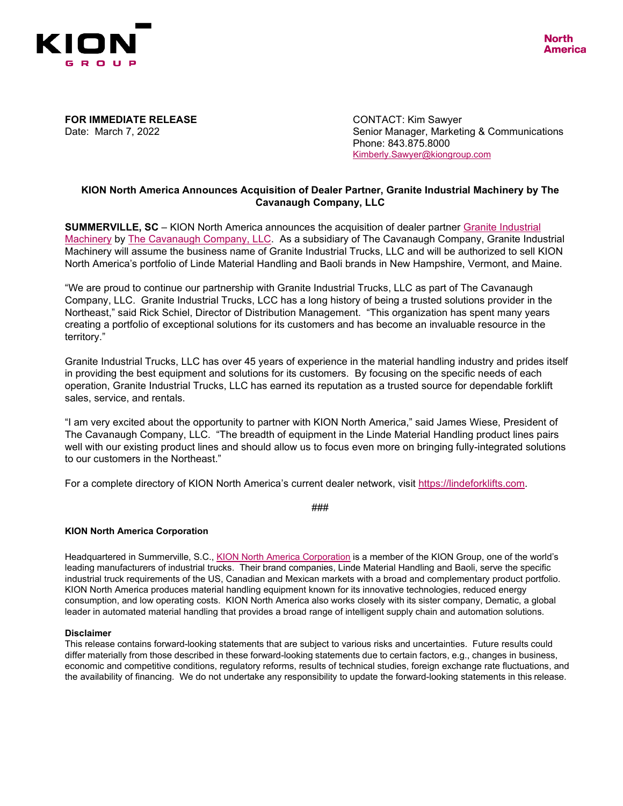

**FOR IMMEDIATE RELEASE**<br>
Date: March 7. 2022 **CONTACT: Kim Sawyer**<br>
Senior Manager. Marketi

Senior Manager, Marketing & Communications Phone: 843.875.8000 [Kimberly.Sawyer@kiongroup.com](mailto:Kimberly.Sawyer@kiongroup.com)

## **KION North America Announces Acquisition of Dealer Partner, Granite Industrial Machinery by The Cavanaugh Company, LLC**

**SUMMERVILLE, SC** – KION North America announces the acquisition of dealer partner [Granite Industrial](https://graniteindustrial.com/)  [Machinery](https://graniteindustrial.com/) by [The Cavanaugh Company, LLC.](https://www.thecavco.com/) As a subsidiary of The Cavanaugh Company, Granite Industrial Machinery will assume the business name of Granite Industrial Trucks, LLC and will be authorized to sell KION North America's portfolio of Linde Material Handling and Baoli brands in New Hampshire, Vermont, and Maine.

"We are proud to continue our partnership with Granite Industrial Trucks, LLC as part of The Cavanaugh Company, LLC. Granite Industrial Trucks, LCC has a long history of being a trusted solutions provider in the Northeast," said Rick Schiel, Director of Distribution Management. "This organization has spent many years creating a portfolio of exceptional solutions for its customers and has become an invaluable resource in the territory."

Granite Industrial Trucks, LLC has over 45 years of experience in the material handling industry and prides itself in providing the best equipment and solutions for its customers. By focusing on the specific needs of each operation, Granite Industrial Trucks, LLC has earned its reputation as a trusted source for dependable forklift sales, service, and rentals.

"I am very excited about the opportunity to partner with KION North America," said James Wiese, President of The Cavanaugh Company, LLC. "The breadth of equipment in the Linde Material Handling product lines pairs well with our existing product lines and should allow us to focus even more on bringing fully-integrated solutions to our customers in the Northeast."

For a complete directory of KION North America's current dealer network, visit [https://lindeforklifts.com.](https://lindeforklifts.com/locator/?_ga=2.130951626.490220969.1627391251-11112201.1597329560)

###

## **KION North America Corporation**

Headquartered in Summerville, S.C., KION [North America Corporation](http://www.kion-na.com/) is a member of the KION Group, one of the world's leading manufacturers of industrial trucks. Their brand companies, Linde Material Handling and Baoli, serve the specific industrial truck requirements of the US, Canadian and Mexican markets with a broad and complementary product portfolio. KION North America produces material handling equipment known for its innovative technologies, reduced energy consumption, and low operating costs. KION North America also works closely with its sister company, Dematic, a global leader in automated material handling that provides a broad range of intelligent supply chain and automation solutions.

## **Disclaimer**

This release contains forward-looking statements that are subject to various risks and uncertainties. Future results could differ materially from those described in these forward-looking statements due to certain factors, e.g., changes in business, economic and competitive conditions, regulatory reforms, results of technical studies, foreign exchange rate fluctuations, and the availability of financing. We do not undertake any responsibility to update the forward-looking statements in this release.